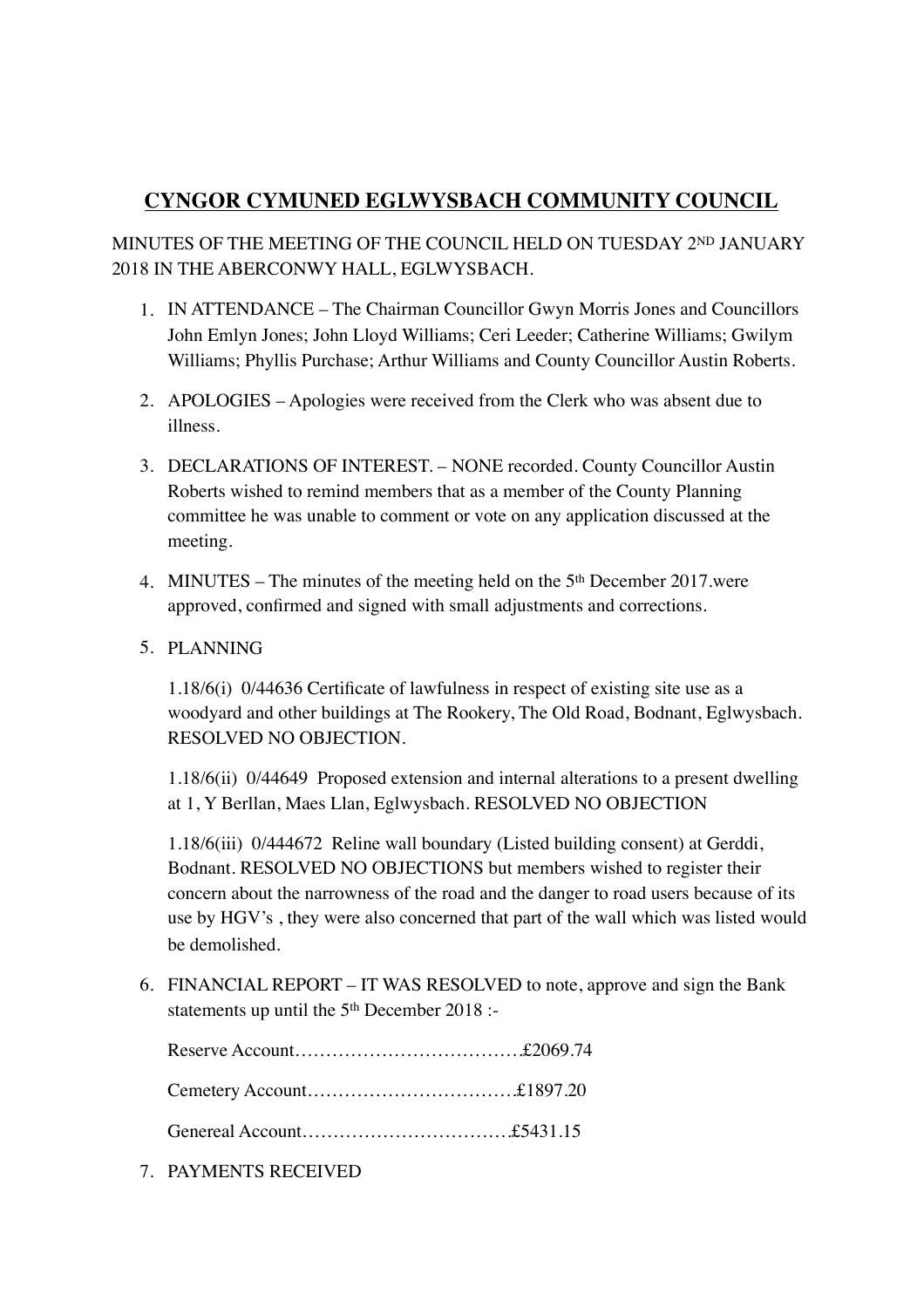## **CYNGOR CYMUNED EGLWYSBACH COMMUNITY COUNCIL**

MINUTES OF THE MEETING OF THE COUNCIL HELD ON TUESDAY 2ND JANUARY 2018 IN THE ABERCONWY HALL, EGLWYSBACH.

- 1. IN ATTENDANCE The Chairman Councillor Gwyn Morris Jones and Councillors John Emlyn Jones; John Lloyd Williams; Ceri Leeder; Catherine Williams; Gwilym Williams; Phyllis Purchase; Arthur Williams and County Councillor Austin Roberts.
- 2. APOLOGIES Apologies were received from the Clerk who was absent due to illness.
- 3. DECLARATIONS OF INTEREST. NONE recorded. County Councillor Austin Roberts wished to remind members that as a member of the County Planning committee he was unable to comment or vote on any application discussed at the meeting.
- 4. MINUTES The minutes of the meeting held on the 5th December 2017.were approved, confirmed and signed with small adjustments and corrections.
- 5. PLANNING

1.18/6(i) 0/44636 Certificate of lawfulness in respect of existing site use as a woodyard and other buildings at The Rookery, The Old Road, Bodnant, Eglwysbach. RESOLVED NO OBJECTION.

1.18/6(ii) 0/44649 Proposed extension and internal alterations to a present dwelling at 1, Y Berllan, Maes Llan, Eglwysbach. RESOLVED NO OBJECTION

1.18/6(iii) 0/444672 Reline wall boundary (Listed building consent) at Gerddi, Bodnant. RESOLVED NO OBJECTIONS but members wished to register their concern about the narrowness of the road and the danger to road users because of its use by HGV's , they were also concerned that part of the wall which was listed would be demolished.

6. FINANCIAL REPORT – IT WAS RESOLVED to note, approve and sign the Bank statements up until the 5<sup>th</sup> December 2018 :-

Reserve Account……………………………….£2069.74 Cemetery Account…………………………….£1897.20 Genereal Account…………………………….£5431.15

7. PAYMENTS RECEIVED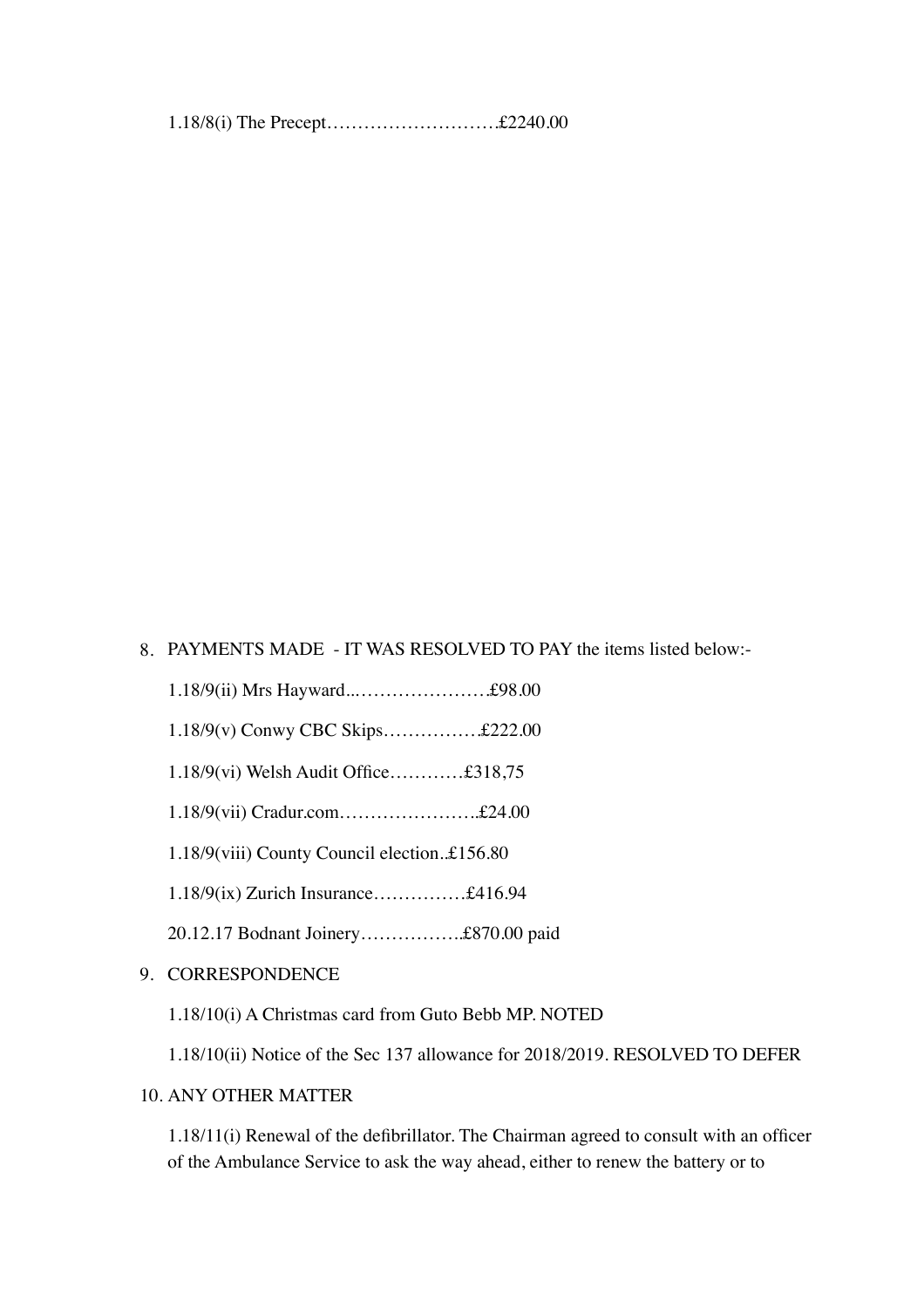1.18/8(i) The Precept……………………….£2240.00

8. PAYMENTS MADE - IT WAS RESOLVED TO PAY the items listed below:-

- 1.18/9(ii) Mrs Hayward..………………….£98.00
- 1.18/9(v) Conwy CBC Skips…………….£222.00
- 1.18/9(vi) Welsh Audit Office…………£318,75
- 1.18/9(vii) Cradur.com…………………..£24.00
- 1.18/9(viii) County Council election..£156.80
- 1.18/9(ix) Zurich Insurance……………£416.94
- 20.12.17 Bodnant Joinery……………..£870.00 paid
- 9. CORRESPONDENCE
	- 1.18/10(i) A Christmas card from Guto Bebb MP. NOTED
	- 1.18/10(ii) Notice of the Sec 137 allowance for 2018/2019. RESOLVED TO DEFER

## 10. ANY OTHER MATTER

1.18/11(i) Renewal of the defibrillator. The Chairman agreed to consult with an officer of the Ambulance Service to ask the way ahead, either to renew the battery or to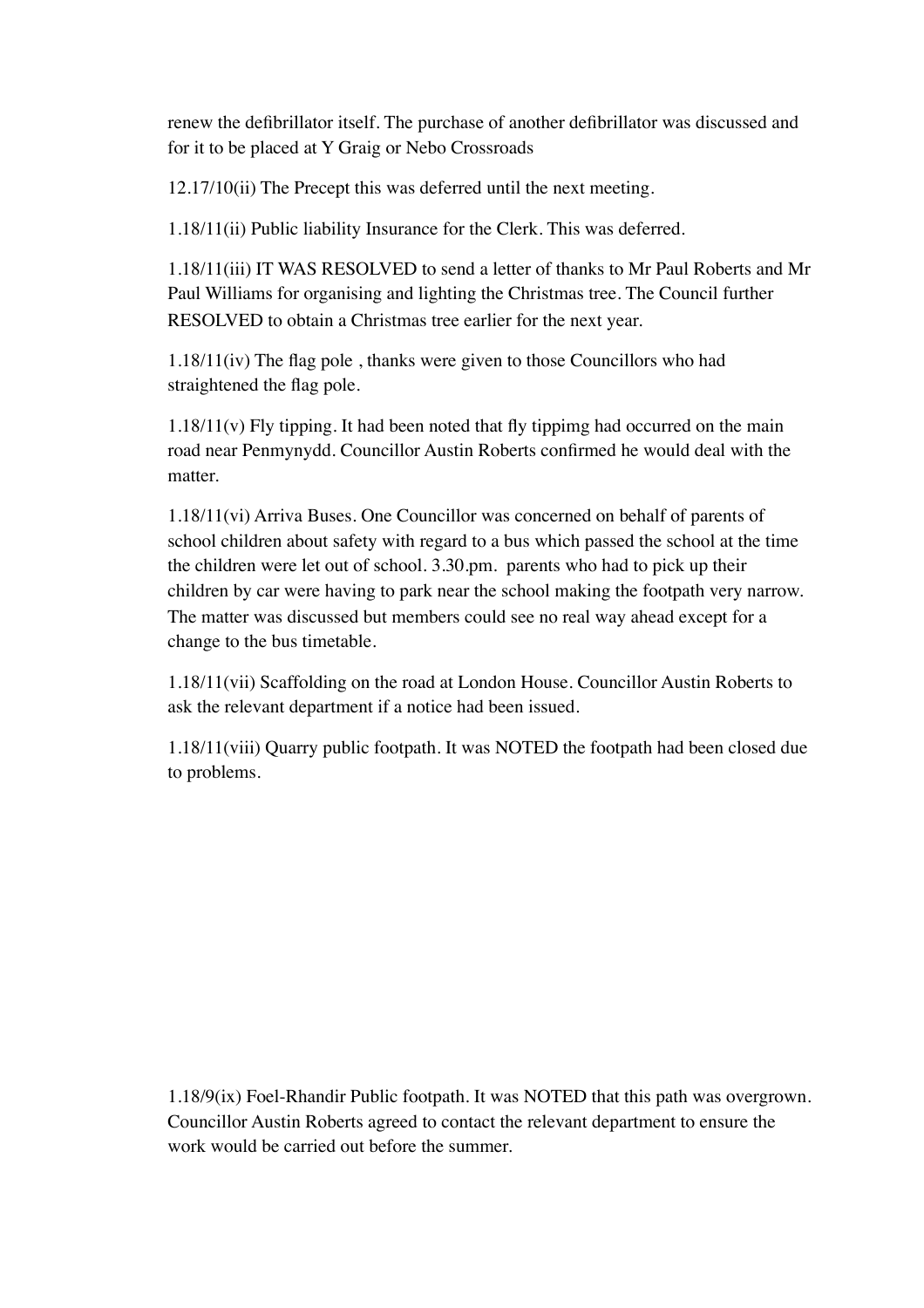renew the defibrillator itself. The purchase of another defibrillator was discussed and for it to be placed at Y Graig or Nebo Crossroads

12.17/10(ii) The Precept this was deferred until the next meeting.

1.18/11(ii) Public liability Insurance for the Clerk. This was deferred.

1.18/11(iii) IT WAS RESOLVED to send a letter of thanks to Mr Paul Roberts and Mr Paul Williams for organising and lighting the Christmas tree. The Council further RESOLVED to obtain a Christmas tree earlier for the next year.

1.18/11(iv) The flag pole , thanks were given to those Councillors who had straightened the flag pole.

1.18/11(v) Fly tipping. It had been noted that fly tippimg had occurred on the main road near Penmynydd. Councillor Austin Roberts confirmed he would deal with the matter.

1.18/11(vi) Arriva Buses. One Councillor was concerned on behalf of parents of school children about safety with regard to a bus which passed the school at the time the children were let out of school. 3.30.pm. parents who had to pick up their children by car were having to park near the school making the footpath very narrow. The matter was discussed but members could see no real way ahead except for a change to the bus timetable.

1.18/11(vii) Scaffolding on the road at London House. Councillor Austin Roberts to ask the relevant department if a notice had been issued.

1.18/11(viii) Quarry public footpath. It was NOTED the footpath had been closed due to problems.

1.18/9(ix) Foel-Rhandir Public footpath. It was NOTED that this path was overgrown. Councillor Austin Roberts agreed to contact the relevant department to ensure the work would be carried out before the summer.